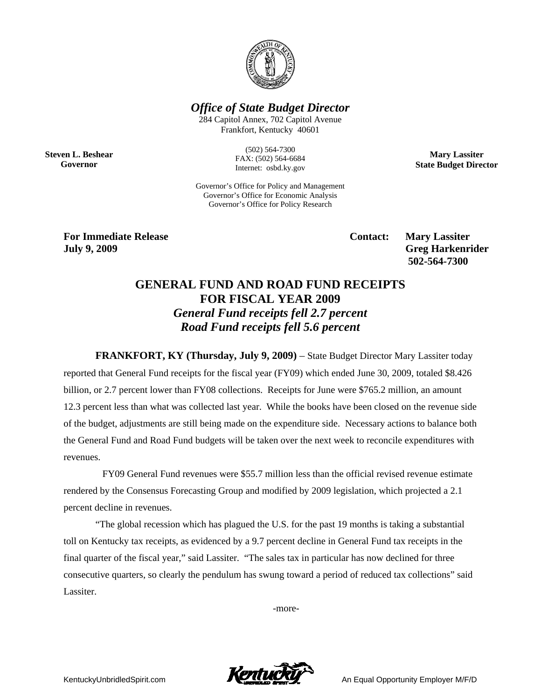

*Office of State Budget Director* 

284 Capitol Annex, 702 Capitol Avenue Frankfort, Kentucky 40601

**Steven L. Beshear Governor** 

(502) 564-7300 FAX: (502) 564-6684 Internet: osbd.ky.gov

**Mary Lassiter State Budget Director** 

Governor's Office for Policy and Management Governor's Office for Economic Analysis Governor's Office for Policy Research

**For Immediate Release Service Service Service Contact: Mary Lassiter July 9, 2009 Greg Harkenrider** 

 **502-564-7300** 

# **GENERAL FUND AND ROAD FUND RECEIPTS FOR FISCAL YEAR 2009**  *General Fund receipts fell 2.7 percent Road Fund receipts fell 5.6 percent*

**FRANKFORT, KY (Thursday, July 9, 2009)** – State Budget Director Mary Lassiter today reported that General Fund receipts for the fiscal year (FY09) which ended June 30, 2009, totaled \$8.426 billion, or 2.7 percent lower than FY08 collections. Receipts for June were \$765.2 million, an amount 12.3 percent less than what was collected last year. While the books have been closed on the revenue side of the budget, adjustments are still being made on the expenditure side. Necessary actions to balance both the General Fund and Road Fund budgets will be taken over the next week to reconcile expenditures with revenues.

 FY09 General Fund revenues were \$55.7 million less than the official revised revenue estimate rendered by the Consensus Forecasting Group and modified by 2009 legislation, which projected a 2.1 percent decline in revenues.

"The global recession which has plagued the U.S. for the past 19 months is taking a substantial toll on Kentucky tax receipts, as evidenced by a 9.7 percent decline in General Fund tax receipts in the final quarter of the fiscal year," said Lassiter. "The sales tax in particular has now declined for three consecutive quarters, so clearly the pendulum has swung toward a period of reduced tax collections" said Lassiter.

-more-

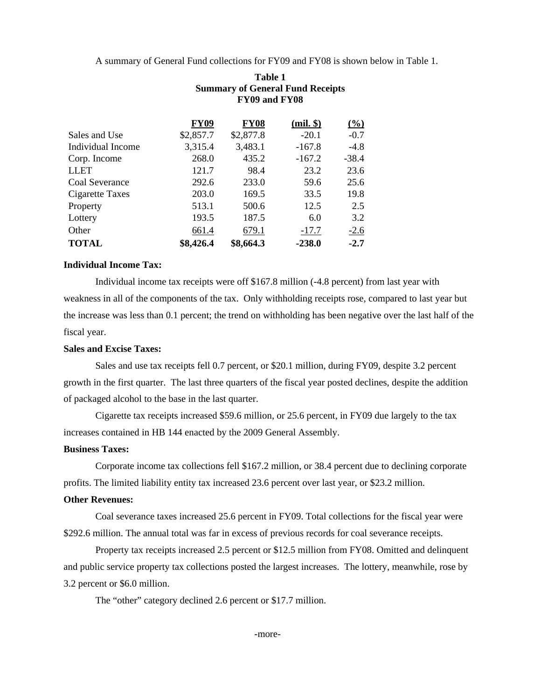A summary of General Fund collections for FY09 and FY08 is shown below in Table 1.

|                   | FY09 and FY08 |             |               |                     |  |  |
|-------------------|---------------|-------------|---------------|---------------------|--|--|
|                   | <b>FY09</b>   | <b>FY08</b> | $(mil.$ $\})$ | $\frac{(\%)}{(\%)}$ |  |  |
| Sales and Use     | \$2,857.7     | \$2,877.8   | $-20.1$       | $-0.7$              |  |  |
| Individual Income | 3,315.4       | 3,483.1     | $-167.8$      | $-4.8$              |  |  |
| Corp. Income      | 268.0         | 435.2       | $-167.2$      | $-38.4$             |  |  |
| <b>LLET</b>       | 121.7         | 98.4        | 23.2          | 23.6                |  |  |
| Coal Severance    | 292.6         | 233.0       | 59.6          | 25.6                |  |  |
| Cigarette Taxes   | 203.0         | 169.5       | 33.5          | 19.8                |  |  |
| Property          | 513.1         | 500.6       | 12.5          | 2.5                 |  |  |
| Lottery           | 193.5         | 187.5       | 6.0           | 3.2                 |  |  |
| Other             | 661.4         | 679.1       | $-17.7$       | $-2.6$              |  |  |
| <b>TOTAL</b>      | \$8,426.4     | \$8,664.3   | $-238.0$      | $-2.7$              |  |  |

## **Table 1 Summary of General Fund Receipts FY09 and FY08**

### **Individual Income Tax:**

Individual income tax receipts were off \$167.8 million (-4.8 percent) from last year with weakness in all of the components of the tax. Only withholding receipts rose, compared to last year but the increase was less than 0.1 percent; the trend on withholding has been negative over the last half of the fiscal year.

### **Sales and Excise Taxes:**

Sales and use tax receipts fell 0.7 percent, or \$20.1 million, during FY09, despite 3.2 percent growth in the first quarter. The last three quarters of the fiscal year posted declines, despite the addition of packaged alcohol to the base in the last quarter.

Cigarette tax receipts increased \$59.6 million, or 25.6 percent, in FY09 due largely to the tax increases contained in HB 144 enacted by the 2009 General Assembly.

### **Business Taxes:**

Corporate income tax collections fell \$167.2 million, or 38.4 percent due to declining corporate profits. The limited liability entity tax increased 23.6 percent over last year, or \$23.2 million.

### **Other Revenues:**

Coal severance taxes increased 25.6 percent in FY09. Total collections for the fiscal year were \$292.6 million. The annual total was far in excess of previous records for coal severance receipts.

Property tax receipts increased 2.5 percent or \$12.5 million from FY08. Omitted and delinquent and public service property tax collections posted the largest increases. The lottery, meanwhile, rose by 3.2 percent or \$6.0 million.

The "other" category declined 2.6 percent or \$17.7 million.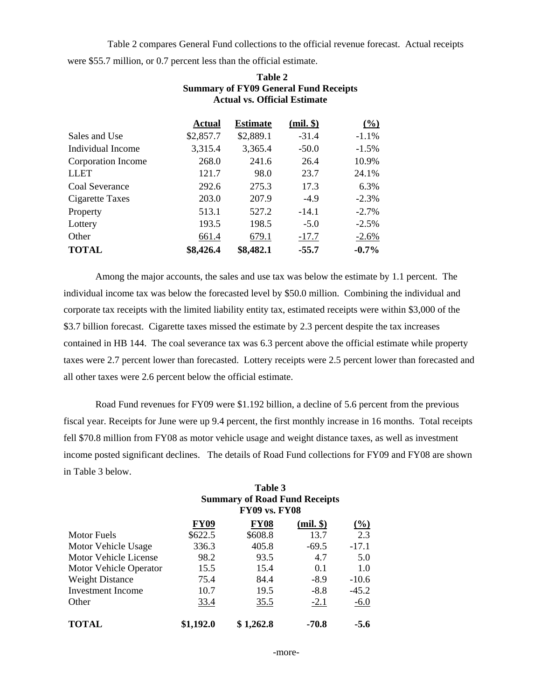Table 2 compares General Fund collections to the official revenue forecast. Actual receipts were \$55.7 million, or 0.7 percent less than the official estimate.

|                    | Actual    | <b>Estimate</b> | $(mil.$ $\})$ | $\frac{0}{0}$ |
|--------------------|-----------|-----------------|---------------|---------------|
| Sales and Use      | \$2,857.7 | \$2,889.1       | $-31.4$       | $-1.1%$       |
| Individual Income  | 3,315.4   | 3,365.4         | $-50.0$       | $-1.5%$       |
| Corporation Income | 268.0     | 241.6           | 26.4          | 10.9%         |
| <b>LLET</b>        | 121.7     | 98.0            | 23.7          | 24.1%         |
| Coal Severance     | 292.6     | 275.3           | 17.3          | 6.3%          |
| Cigarette Taxes    | 203.0     | 207.9           | $-4.9$        | $-2.3%$       |
| Property           | 513.1     | 527.2           | $-14.1$       | $-2.7\%$      |
| Lottery            | 193.5     | 198.5           | $-5.0$        | $-2.5%$       |
| Other              | 661.4     | 679.1           | $-17.7$       | $-2.6%$       |
| <b>TOTAL</b>       | \$8,426.4 | \$8,482.1       | $-55.7$       | $-0.7\%$      |

## **Table 2 Summary of FY09 General Fund Receipts Actual vs. Official Estimate**

Among the major accounts, the sales and use tax was below the estimate by 1.1 percent. The individual income tax was below the forecasted level by \$50.0 million. Combining the individual and corporate tax receipts with the limited liability entity tax, estimated receipts were within \$3,000 of the \$3.7 billion forecast. Cigarette taxes missed the estimate by 2.3 percent despite the tax increases contained in HB 144. The coal severance tax was 6.3 percent above the official estimate while property taxes were 2.7 percent lower than forecasted. Lottery receipts were 2.5 percent lower than forecasted and all other taxes were 2.6 percent below the official estimate.

Road Fund revenues for FY09 were \$1.192 billion, a decline of 5.6 percent from the previous fiscal year. Receipts for June were up 9.4 percent, the first monthly increase in 16 months. Total receipts fell \$70.8 million from FY08 as motor vehicle usage and weight distance taxes, as well as investment income posted significant declines. The details of Road Fund collections for FY09 and FY08 are shown in Table 3 below.

**Table 3** 

|                        | 1 avre J<br><b>Summary of Road Fund Receipts</b><br><b>FY09 vs. FY08</b> |             |               |                     |  |  |  |
|------------------------|--------------------------------------------------------------------------|-------------|---------------|---------------------|--|--|--|
|                        | <b>FY09</b>                                                              | <b>FY08</b> | $(mil.$ $\})$ | $\frac{(\%)}{(\%)}$ |  |  |  |
| <b>Motor Fuels</b>     | \$622.5                                                                  | \$608.8     | 13.7          | 2.3                 |  |  |  |
| Motor Vehicle Usage    | 336.3                                                                    | 405.8       | $-69.5$       | $-17.1$             |  |  |  |
| Motor Vehicle License  | 98.2                                                                     | 93.5        | 4.7           | 5.0                 |  |  |  |
| Motor Vehicle Operator | 15.5                                                                     | 15.4        | 0.1           | 1.0                 |  |  |  |
| <b>Weight Distance</b> | 75.4                                                                     | 84.4        | $-8.9$        | $-10.6$             |  |  |  |
| Investment Income      | 10.7                                                                     | 19.5        | $-8.8$        | $-45.2$             |  |  |  |
| Other                  | 33.4                                                                     | 35.5        | $-2.1$        | $-6.0$              |  |  |  |
| <b>TOTAL</b>           | \$1,192.0                                                                | \$1,262.8   | -70.8         | $-5.6$              |  |  |  |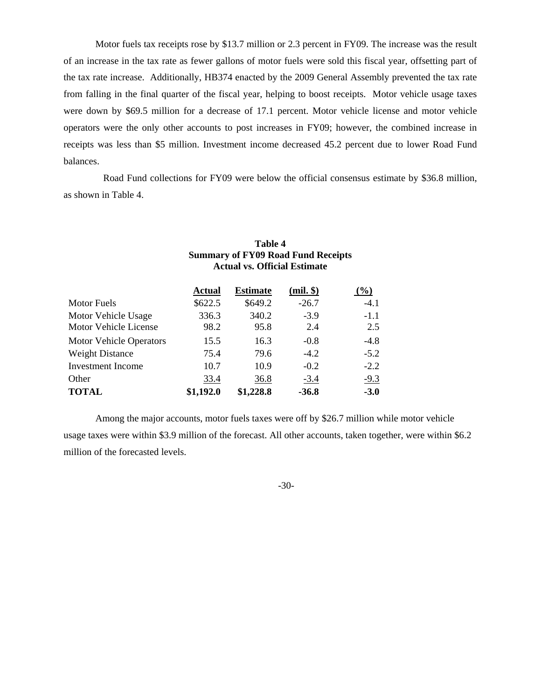Motor fuels tax receipts rose by \$13.7 million or 2.3 percent in FY09. The increase was the result of an increase in the tax rate as fewer gallons of motor fuels were sold this fiscal year, offsetting part of the tax rate increase. Additionally, HB374 enacted by the 2009 General Assembly prevented the tax rate from falling in the final quarter of the fiscal year, helping to boost receipts. Motor vehicle usage taxes were down by \$69.5 million for a decrease of 17.1 percent. Motor vehicle license and motor vehicle operators were the only other accounts to post increases in FY09; however, the combined increase in receipts was less than \$5 million. Investment income decreased 45.2 percent due to lower Road Fund balances.

 Road Fund collections for FY09 were below the official consensus estimate by \$36.8 million, as shown in Table 4.

> **Table 4 Summary of FY09 Road Fund Receipts**

|                                              | <b>Actual vs. Official Estimate</b> |                 |               |                     |
|----------------------------------------------|-------------------------------------|-----------------|---------------|---------------------|
|                                              | Actual                              | <b>Estimate</b> | $(mil.$ \$)   | $\frac{(\%)}{(\%)}$ |
| <b>Motor Fuels</b>                           | \$622.5                             | \$649.2         | $-26.7$       | $-4.1$              |
| Motor Vehicle Usage<br>Motor Vehicle License | 336.3<br>98.2                       | 340.2<br>95.8   | $-3.9$<br>2.4 | $-1.1$<br>2.5       |
| Motor Vehicle Operators                      | 15.5                                | 16.3            | $-0.8$        | $-4.8$              |
| <b>Weight Distance</b>                       | 75.4                                | 79.6            | $-4.2$        | $-5.2$              |
| Investment Income                            | 10.7                                | 10.9            | $-0.2$        | $-2.2$              |
| Other                                        | 33.4                                | 36.8            | $-3.4$        | $-9.3$              |
| <b>TOTAL</b>                                 | \$1,192.0                           | \$1,228.8       | $-36.8$       | $-3.0$              |

Among the major accounts, motor fuels taxes were off by \$26.7 million while motor vehicle usage taxes were within \$3.9 million of the forecast. All other accounts, taken together, were within \$6.2 million of the forecasted levels.

#### -30-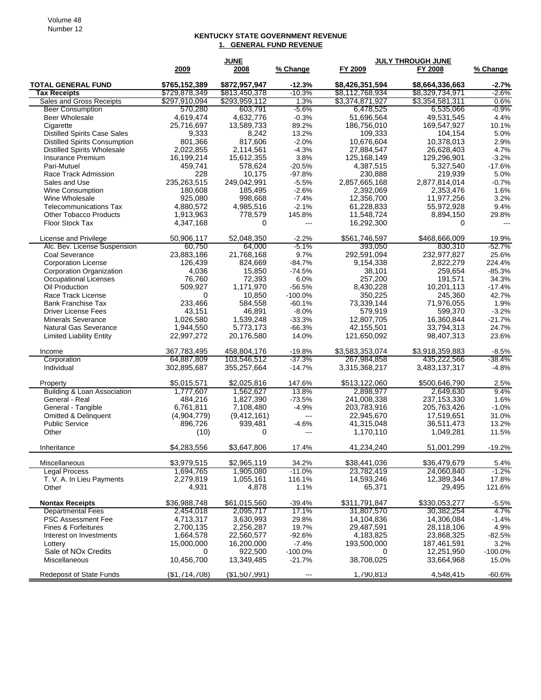#### **KENTUCKY STATE GOVERNMENT REVENUE 1. GENERAL FUND REVENUE**

|                                      |                | <b>JUNE</b>    |                          |                 | <b>JULY THROUGH JUNE</b> |            |
|--------------------------------------|----------------|----------------|--------------------------|-----------------|--------------------------|------------|
|                                      | 2009           | 2008           | % Change                 | FY 2009         | FY 2008                  | % Change   |
|                                      |                |                |                          |                 |                          |            |
| <b>TOTAL GENERAL FUND</b>            | \$765,152,389  | \$872,957,947  | $-12.3%$                 | \$8,426,351,594 | \$8,664,336,663          | -2.7%      |
| <b>Tax Receipts</b>                  | \$729,878,349  | \$813,450,378  | $-10.3%$                 | \$8,112,768,934 | \$8,329,734,971          | $-2.6%$    |
| Sales and Gross Receipts             | \$297,910,094  | \$293,959,112  | 1.3%                     | \$3,374,871,927 | \$3,354,581,311          | 0.6%       |
| <b>Beer Consumption</b>              | 570,280        | 603,791        | $-5.6%$                  | 6,478,525       | 6,535,066                | $-0.9%$    |
| Beer Wholesale                       | 4,619,474      | 4,632,776      | $-0.3%$                  | 51,696,564      | 49,531,545               | 4.4%       |
| Cigarette                            | 25,716,697     | 13,589,733     | 89.2%                    | 186,756,010     | 169,547,927              | 10.1%      |
| <b>Distilled Spirits Case Sales</b>  | 9,333          | 8,242          | 13.2%                    | 109,333         | 104,154                  | 5.0%       |
| <b>Distilled Spirits Consumption</b> | 801,366        | 817,606        | $-2.0%$                  | 10,676,604      | 10,378,013               | 2.9%       |
| <b>Distilled Spirits Wholesale</b>   | 2,022,855      | 2,114,561      | $-4.3%$                  | 27,884,547      | 26,628,403               | 4.7%       |
| Insurance Premium                    | 16,199,214     | 15,612,355     | 3.8%                     | 125, 168, 149   | 129,296,901              | $-3.2%$    |
| Pari-Mutuel                          | 459,741        | 578,624        | $-20.5%$                 | 4,387,515       | 5,327,540                | $-17.6%$   |
| Race Track Admission                 | 228            | 10,175         | $-97.8%$                 | 230,888         | 219,939                  | 5.0%       |
| Sales and Use                        | 235,263,515    | 249,042,991    | $-5.5%$                  | 2,857,665,168   | 2,877,814,014            | $-0.7%$    |
| Wine Consumption                     | 180,608        | 185,495        | $-2.6%$                  | 2,392,069       | 2,353,476                | 1.6%       |
| Wine Wholesale                       | 925,080        | 998,668        | $-7.4%$                  | 12,356,700      | 11,977,256               | 3.2%       |
| <b>Telecommunications Tax</b>        | 4,880,572      | 4,985,516      | $-2.1%$                  | 61,228,833      | 55,972,928               | 9.4%       |
|                                      |                |                |                          |                 |                          |            |
| <b>Other Tobacco Products</b>        | 1,913,963      | 778,579        | 145.8%                   | 11,548,724      | 8,894,150                | 29.8%      |
| Floor Stock Tax                      | 4,347,168      | 0              | ---                      | 16,292,300      | 0                        |            |
|                                      |                |                |                          |                 |                          |            |
| License and Privilege                | 50,906,117     | 52,048,350     | $-2.2%$                  | \$561,746,597   | \$468,666,009            | 19.9%      |
| Alc. Bev. License Suspension         | 60,750         | 64,000         | $-5.1%$                  | 393,050         | 830,310                  | $-52.7%$   |
| Coal Severance                       | 23,883,186     | 21,768,168     | 9.7%                     | 292,591,094     | 232,977,827              | 25.6%      |
| <b>Corporation License</b>           | 126,439        | 824,669        | $-84.7%$                 | 9,154,338       | 2.822.279                | 224.4%     |
| Corporation Organization             | 4,036          | 15,850         | $-74.5%$                 | 38,101          | 259,654                  | $-85.3%$   |
| Occupational Licenses                | 76,760         | 72,393         | 6.0%                     | 257,200         | 191,571                  | 34.3%      |
| Oil Production                       | 509,927        | 1,171,970      | $-56.5%$                 | 8,430,228       | 10,201,113               | $-17.4%$   |
| Race Track License                   | 0              | 10,850         | $-100.0%$                | 350,225         | 245,360                  | 42.7%      |
| <b>Bank Franchise Tax</b>            | 233,466        | 584,558        | $-60.1%$                 | 73,339,144      | 71,976,055               | 1.9%       |
| <b>Driver License Fees</b>           | 43,151         | 46,891         | $-8.0%$                  | 579.919         | 599,370                  | $-3.2%$    |
| <b>Minerals Severance</b>            | 1,026,580      | 1,539,248      | $-33.3%$                 | 12,807,705      | 16,360,844               | $-21.7%$   |
| Natural Gas Severance                | 1,944,550      | 5,773,173      | $-66.3%$                 | 42,155,501      | 33,794,313               | 24.7%      |
| <b>Limited Liability Entity</b>      | 22,997,272     | 20,176,580     | 14.0%                    | 121,650,092     | 98,407,313               | 23.6%      |
|                                      |                |                |                          |                 |                          |            |
| Income                               | 367,783,495    | 458,804,176    | $-19.8%$                 | \$3,583,353,074 | \$3,918,359,883          | $-8.5%$    |
| Corporation                          | 64,887,809     | 103,546,512    | $-37.3%$                 | 267,984,858     | 435,222,566              | -38.4%     |
| Individual                           | 302,895,687    | 355,257,664    | $-14.7%$                 | 3,315,368,217   | 3,483,137,317            | $-4.8%$    |
|                                      |                |                |                          |                 |                          |            |
| Property                             | \$5,015,571    | \$2,025,816    | 147.6%                   | \$513,122,060   | \$500,646,790            | 2.5%       |
| Building & Loan Association          | 1,777,607      | 1,562,627      | 13.8%                    | 2,898,977       | 2,649,630                | 9.4%       |
| General - Real                       |                | 1,827,390      |                          |                 |                          |            |
|                                      | 484,216        |                | $-73.5%$                 | 241,008,338     | 237, 153, 330            | 1.6%       |
| General - Tangible                   | 6,761,811      | 7,108,480      | $-4.9%$                  | 203,783,916     | 205,763,426              | $-1.0%$    |
| <b>Omitted &amp; Delinquent</b>      | (4,904,779)    | (9,412,161)    | $\overline{\phantom{a}}$ | 22,945,670      | 17,519,651               | 31.0%      |
| <b>Public Service</b>                | 896,726        | 939,481        | $-4.6%$                  | 41,315,048      | 36,511,473               | 13.2%      |
| Other                                | (10)           | $\Omega$       | ---                      | 1,170,110       | 1,049,281                | 11.5%      |
|                                      |                |                |                          |                 |                          |            |
| Inheritance                          | \$4,283,556    | \$3,647,806    | 17.4%                    | 41,234,240      | 51,001,299               | $-19.2%$   |
|                                      |                |                |                          |                 |                          |            |
| Miscellaneous                        | \$3,979,515    | \$2,965,119    | 34.2%                    | \$38,441,036    | \$36,479,679             | 5.4%       |
| <b>Legal Process</b>                 | 1,694,765      | 1,905,080      | $-11.0%$                 | 23,782,419      | 24,060,840               | $-1.2\%$   |
| T. V. A. In Lieu Payments            | 2,279,819      | 1,055,161      | 116.1%                   | 14,593,246      | 12,389,344               | 17.8%      |
| Other                                | 4,931          | 4,878          | 1.1%                     | 65,371          | 29,495                   | 121.6%     |
|                                      |                |                |                          |                 |                          |            |
| <b>Nontax Receipts</b>               | \$36,988,748   | \$61,015,560   | $-39.4%$                 | \$311,791,847   | \$330.053.277            | $-5.5%$    |
| <b>Departmental Fees</b>             | 2,454,018      | 2.095.717      | 17.1%                    | 31,807,570      | 30,382,254               | 4.7%       |
| PSC Assessment Fee                   | 4,713,317      | 3,630,993      | 29.8%                    | 14,104,836      | 14,306,084               | $-1.4%$    |
| Fines & Forfeitures                  | 2,700,135      | 2,256,287      | 19.7%                    | 29,487,591      | 28,118,106               | 4.9%       |
| Interest on Investments              | 1,664,578      | 22,560,577     | $-92.6%$                 | 4,183,825       | 23,868,325               | $-82.5%$   |
| Lottery                              | 15,000,000     | 16,200,000     | $-7.4%$                  | 193,500,000     | 187,461,591              | 3.2%       |
| Sale of NO <sub>x</sub> Credits      | 0              | 922,500        | $-100.0\%$               | 0               | 12,251,950               | $-100.0\%$ |
| Miscellaneous                        | 10,456,700     | 13,349,485     | $-21.7%$                 | 38,708,025      | 33,664,968               |            |
|                                      |                |                |                          |                 |                          | 15.0%      |
| <b>Redeposit of State Funds</b>      | ( \$1,714,708) | ( \$1,507,991) | $\cdots$                 | 1,790,813       | 4,548,415                | $-60.6%$   |
|                                      |                |                |                          |                 |                          |            |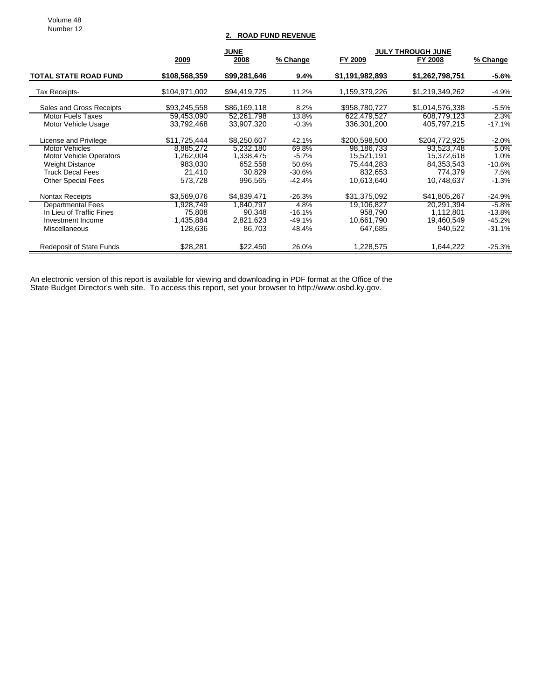Volume 48 Number 12

### **2. ROAD FUND REVENUE**

|                                | <b>JUNE</b>   |              |          | <b>JULY THROUGH JUNE</b> |                 |          |
|--------------------------------|---------------|--------------|----------|--------------------------|-----------------|----------|
|                                | 2009          | 2008         | % Change | FY 2009                  | FY 2008         | % Change |
| <b>TOTAL STATE ROAD FUND</b>   | \$108,568,359 | \$99,281,646 | 9.4%     | \$1,191,982,893          | \$1,262,798,751 | $-5.6%$  |
| Tax Receipts-                  | \$104,971,002 | \$94,419,725 | 11.2%    | 1,159,379,226            | \$1,219,349,262 | $-4.9%$  |
| Sales and Gross Receipts       | \$93,245,558  | \$86,169,118 | 8.2%     | \$958,780,727            | \$1,014,576,338 | $-5.5%$  |
| <b>Motor Fuels Taxes</b>       | 59,453,090    | 52,261,798   | 13.8%    | 622,479,527              | 608,779,123     | $2.3\%$  |
| Motor Vehicle Usage            | 33,792,468    | 33,907,320   | $-0.3%$  | 336,301,200              | 405,797,215     | $-17.1%$ |
| License and Privilege          | \$11,725,444  | \$8,250,607  | 42.1%    | \$200,598,500            | \$204,772,925   | $-2.0\%$ |
| Motor Vehicles                 | 8.885.272     | 5,232,180    | 69.8%    | 98.186.733               | 93,523,748      | 5.0%     |
| <b>Motor Vehicle Operators</b> | 1,262,004     | 1,338,475    | $-5.7\%$ | 15,521,191               | 15,372,618      | $1.0\%$  |
| <b>Weight Distance</b>         | 983,030       | 652,558      | 50.6%    | 75,444,283               | 84,353,543      | $-10.6%$ |
| <b>Truck Decal Fees</b>        | 21,410        | 30,829       | $-30.6%$ | 832,653                  | 774,379         | 7.5%     |
| <b>Other Special Fees</b>      | 573,728       | 996,565      | $-42.4%$ | 10,613,640               | 10,748,637      | $-1.3%$  |
| <b>Nontax Receipts</b>         | \$3,569,076   | \$4.839.471  | $-26.3%$ | \$31,375,092             | \$41,805,267    | $-24.9%$ |
| <b>Departmental Fees</b>       | 1,928,749     | 1,840,797    | 4.8%     | 19,106,827               | 20,291,394      | $-5.8\%$ |
| In Lieu of Traffic Fines       | 75,808        | 90,348       | $-16.1%$ | 958.790                  | 1,112,801       | $-13.8%$ |
| Investment Income              | 1,435,884     | 2,821,623    | -49.1%   | 10.661,790               | 19,460,549      | -45.2%   |
| <b>Miscellaneous</b>           | 128,636       | 86,703       | 48.4%    | 647,685                  | 940,522         | $-31.1%$ |
| Redeposit of State Funds       | \$28,281      | \$22,450     | 26.0%    | 1,228,575                | 1,644,222       | $-25.3%$ |

An electronic version of this report is available for viewing and downloading in PDF format at the Office of the State Budget Director's web site. To access this report, set your browser to http://www.osbd.ky.gov.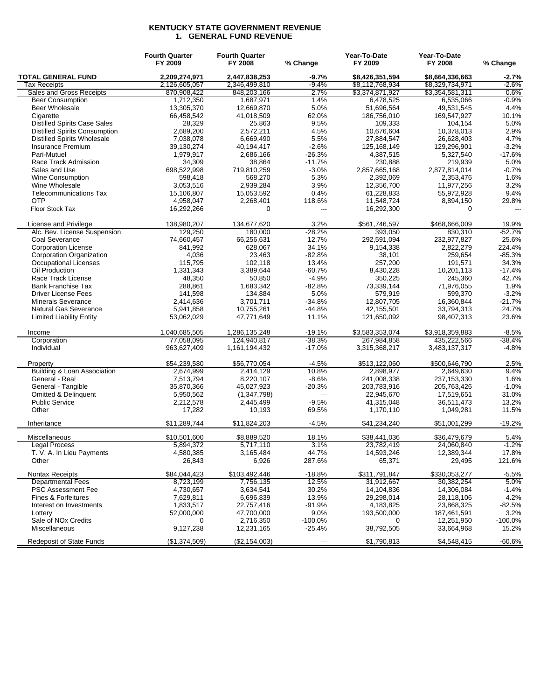### **KENTUCKY STATE GOVERNMENT REVENUE 1. GENERAL FUND REVENUE**

|                                      | <b>Fourth Quarter</b><br>FY 2009 | <b>Fourth Quarter</b><br>FY 2008 | % Change       | Year-To-Date<br>FY 2009 | Year-To-Date<br>FY 2008 | % Change |
|--------------------------------------|----------------------------------|----------------------------------|----------------|-------------------------|-------------------------|----------|
| <b>TOTAL GENERAL FUND</b>            | 2,209,274,971                    | 2,447,838,253                    | $-9.7%$        | \$8,426,351,594         | \$8,664,336,663         | $-2.7%$  |
| Tax Receipts                         | 2,126,605,057                    | 2,346,499,810                    | $-9.4%$        | \$8,112,768,934         | \$8,329,734,971         | $-2.6%$  |
| Sales and Gross Receipts             | 870,908,422                      | 848,203,166                      | 2.7%           | \$3,374,871,927         | \$3,354,581,311         | 0.6%     |
| <b>Beer Consumption</b>              | 1,712,350                        | 1,687,971                        | 1.4%           | 6,478,525               | 6,535,066               | $-0.9%$  |
| <b>Beer Wholesale</b>                | 13,305,370                       | 12,669,870                       | 5.0%           | 51,696,564              | 49,531,545              | 4.4%     |
| Cigarette                            | 66,458,542                       | 41,018,509                       | 62.0%          | 186,756,010             | 169,547,927             | 10.1%    |
| <b>Distilled Spirits Case Sales</b>  | 28,329                           | 25,863                           | 9.5%           | 109,333                 | 104,154                 | 5.0%     |
| <b>Distilled Spirits Consumption</b> | 2,689,200                        | 2,572,211                        | 4.5%           | 10,676,604              | 10,378,013              | 2.9%     |
| <b>Distilled Spirits Wholesale</b>   | 7,038,078                        | 6.669.490                        | 5.5%           | 27,884,547              | 26,628,403              | 4.7%     |
| Insurance Premium                    | 39,130,274                       | 40,194,417                       | $-2.6%$        | 125,168,149             | 129,296,901             | $-3.2%$  |
| Pari-Mutuel                          | 1,979,917                        | 2,686,166                        | $-26.3%$       | 4,387,515               | 5,327,540               | $-17.6%$ |
| Race Track Admission                 | 34,309                           | 38,864                           | $-11.7%$       | 230.888                 | 219,939                 | 5.0%     |
| Sales and Use                        | 698,522,998                      | 719,810,259                      | $-3.0%$        | 2,857,665,168           | 2,877,814,014           | $-0.7%$  |
| Wine Consumption                     | 598,418                          | 568,270                          | 5.3%           | 2,392,069               | 2,353,476               | 1.6%     |
| Wine Wholesale                       | 3,053,516                        | 2,939,284                        | 3.9%           | 12,356,700              | 11,977,256              | 3.2%     |
| <b>Telecommunications Tax</b>        | 15,106,807                       | 15,053,592                       | 0.4%           | 61,228,833              | 55,972,928              | 9.4%     |
| <b>OTP</b>                           | 4,958,047                        | 2,268,401                        | 118.6%         | 11,548,724              | 8,894,150               | 29.8%    |
| Floor Stock Tax                      | 16,292,266                       | $\mathbf 0$                      | $\overline{a}$ | 16,292,300              | $\mathbf 0$             |          |
| License and Privilege                | 138,980,207                      | 134,677,620                      | 3.2%           | \$561,746,597           | \$468,666,009           | 19.9%    |
| Alc. Bev. License Suspension         | 129,250                          | 180,000                          | $-28.2%$       | 393,050                 | 830.310                 | $-52.7%$ |
| Coal Severance                       | 74,660,457                       | 66,256,631                       | 12.7%          | 292,591,094             | 232,977,827             | 25.6%    |
| <b>Corporation License</b>           | 841,992                          | 628,067                          | 34.1%          | 9,154,338               | 2.822.279               | 224.4%   |
| Corporation Organization             | 4,036                            | 23,463                           | $-82.8%$       | 38,101                  | 259,654                 | $-85.3%$ |
| <b>Occupational Licenses</b>         | 115,795                          | 102,118                          | 13.4%          | 257,200                 | 191,571                 | 34.3%    |
| Oil Production                       | 1,331,343                        | 3,389,644                        | $-60.7%$       | 8,430,228               | 10,201,113              | $-17.4%$ |
| Race Track License                   | 48,350                           | 50,850                           | $-4.9%$        | 350,225                 | 245,360                 | 42.7%    |
| <b>Bank Franchise Tax</b>            | 288,861                          | 1,683,342                        | $-82.8%$       | 73,339,144              | 71,976,055              | 1.9%     |
| <b>Driver License Fees</b>           | 141,598                          | 134,884                          | 5.0%           | 579,919                 | 599,370                 | $-3.2%$  |
| <b>Minerals Severance</b>            | 2,414,636                        | 3,701,711                        | $-34.8%$       | 12,807,705              | 16,360,844              | $-21.7%$ |
| Natural Gas Severance                | 5,941,858                        | 10,755,261                       | $-44.8%$       | 42,155,501              | 33,794,313              | 24.7%    |
| <b>Limited Liability Entity</b>      | 53,062,029                       | 47,771,649                       | 11.1%          | 121,650,092             | 98,407,313              | 23.6%    |
| Income                               | 1,040,685,505                    | 1,286,135,248                    | $-19.1%$       | \$3,583,353,074         | \$3,918,359,883         | $-8.5%$  |
| Corporation                          | 77,058,095                       | 124,940,817                      | $-38.3%$       | 267,984,858             | 435,222,566             | $-38.4%$ |
| Individual                           | 963,627,409                      | 1,161,194,432                    | $-17.0%$       | 3,315,368,217           | 3,483,137,317           | $-4.8%$  |
| Property                             | \$54,239,580                     | \$56,770,054                     | $-4.5%$        | \$513,122,060           | \$500,646,790           | 2.5%     |
| Building & Loan Association          | 2,674,999                        | 2,414,129                        | 10.8%          | 2,898,977               | 2,649,630               | 9.4%     |
| General - Real                       | 7,513,794                        | 8,220,107                        | $-8.6%$        | 241,008,338             | 237, 153, 330           | 1.6%     |
| General - Tangible                   | 35,870,366                       | 45,027,923                       | $-20.3%$       | 203,783,916             | 205,763,426             | $-1.0%$  |
| <b>Omitted &amp; Delinquent</b>      | 5,950,562                        | (1,347,798)                      | ---            | 22,945,670              | 17,519,651              | 31.0%    |
| <b>Public Service</b>                | 2,212,578                        | 2,445,499                        | $-9.5%$        | 41,315,048              | 36,511,473              | 13.2%    |
| Other                                | 17,282                           | 10,193                           | 69.5%          | 1,170,110               | 1,049,281               | 11.5%    |
| Inheritance                          | \$11,289,744                     | \$11,824,203                     | $-4.5%$        | \$41,234,240            | \$51,001,299            | $-19.2%$ |
| Miscellaneous                        | \$10,501,600                     | \$8,889,520                      | 18.1%          | \$38,441,036            | \$36,479,679            | 5.4%     |
| Legal Process                        | 5,894,372                        | 5,717,110                        | $3.1\%$        | 23,782,419              | 24,060,840              | $-1.2%$  |
| T. V. A. In Lieu Payments            | 4,580,385                        | 3,165,484                        | 44.7%          | 14,593,246              | 12,389,344              | 17.8%    |
| Other                                | 26,843                           | 6,926                            | 287.6%         | 65,371                  | 29,495                  | 121.6%   |
| Nontax Receipts                      | \$84,044,423                     | \$103,492,446                    | -18.8%         | \$311,791,847           | \$330,053,277           | $-5.5%$  |
| <b>Departmental Fees</b>             | 8,723,199                        | 7,756,135                        | 12.5%          | 31,912,667              | 30,382,254              | 5.0%     |
| <b>PSC Assessment Fee</b>            | 4,730,657                        | 3,634,541                        | 30.2%          | 14,104,836              | 14,306,084              | $-1.4%$  |
| Fines & Forfeitures                  | 7,629,811                        | 6,696,839                        | 13.9%          | 29,298,014              | 28,118,106              | 4.2%     |
| Interest on Investments              | 1,833,517                        | 22,757,416                       | -91.9%         | 4,183,825               | 23,868,325              | $-82.5%$ |
| Lotterv                              | 52,000,000                       | 47,700,000                       | 9.0%           | 193,500,000             | 187,461,591             | 3.2%     |
| Sale of NO <sub>x</sub> Credits      | 0                                | 2,716,350                        | -100.0%        | 0                       | 12,251,950              | -100.0%  |
| Miscellaneous                        | 9,127,238                        | 12,231,165                       | $-25.4%$       | 38,792,505              | 33,664,968              | 15.2%    |
| <b>Redeposit of State Funds</b>      | (\$1,374,509)                    | (\$2,154,003)                    | ---            | \$1,790,813             | \$4,548,415             | $-60.6%$ |